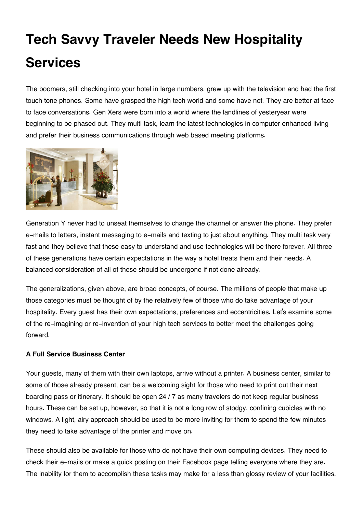# **Tech Savvy Traveler Needs New Hospitality Services**

The boomers, still checking into your hotel in large numbers, grew up with the television and had the first touch tone phones. Some have grasped the high tech world and some have not. They are better at face to face conversations. Gen Xers were born into a world where the landlines of yesteryear were beginning to be phased out. They multi task, learn the latest technologies in computer enhanced living and prefer their business communications through web based meeting platforms.



Generation Y never had to unseat themselves to change the channel or answer the phone. They prefer e-mails to letters, instant messaging to e-mails and texting to just about anything. They multi task very fast and they believe that these easy to understand and use technologies will be there forever. All three of these generations have certain expectations in the way a hotel treats them and their needs. A balanced consideration of all of these should be undergone if not done already.

The generalizations, given above, are broad concepts, of course. The millions of people that make up those categories must be thought of by the relatively few of those who do take advantage of your hospitality. Every guest has their own expectations, preferences and eccentricities. Let's examine some of the re-imagining or re-invention of your high tech services to better meet the challenges going forward.

#### **A Full Service Business Center**

Your guests, many of them with their own laptops, arrive without a printer. A business center, similar to some of those already present, can be a welcoming sight for those who need to print out their next boarding pass or itinerary. It should be open 24 / 7 as many travelers do not keep regular business hours. These can be set up, however, so that it is not a long row of stodgy, confining cubicles with no windows. A light, airy approach should be used to be more inviting for them to spend the few minutes they need to take advantage of the printer and move on.

These should also be available for those who do not have their own computing devices. They need to check their e-mails or make a quick posting on their Facebook page telling everyone where they are. The inability for them to accomplish these tasks may make for a less than glossy review of your facilities.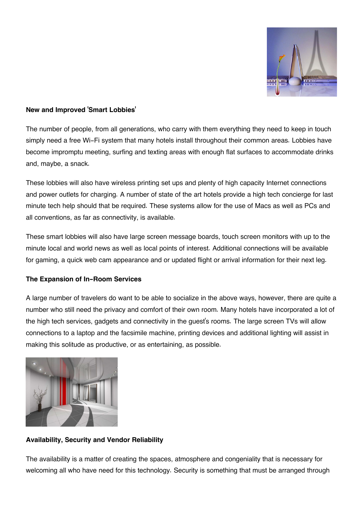

### **New and Improved 'Smart Lobbies'**

The number of people, from all generations, who carry with them everything they need to keep in touch simply need a free Wi-Fi system that many hotels install throughout their common areas. Lobbies have become impromptu meeting, surfing and texting areas with enough flat surfaces to accommodate drinks and, maybe, a snack.

These lobbies will also have wireless printing set ups and plenty of high capacity Internet connections and power outlets for charging. A number of state of the art hotels provide a high tech concierge for last minute tech help should that be required. These systems allow for the use of Macs as well as PCs and all conventions, as far as connectivity, is available.

These smart lobbies will also have large screen message boards, touch screen monitors with up to the minute local and world news as well as local points of interest. Additional connections will be available for gaming, a quick web cam appearance and or updated flight or arrival information for their next leg.

# **The Expansion of In-Room Services**

A large number of travelers do want to be able to socialize in the above ways, however, there are quite a number who still need the privacy and comfort of their own room. Many hotels have incorporated a lot of the high tech services, gadgets and connectivity in the guest's rooms. The large screen TVs will allow connections to a laptop and the facsimile machine, printing devices and additional lighting will assist in making this solitude as productive, or as entertaining, as possible.



# **Availability, Security and Vendor Reliability**

The availability is a matter of creating the spaces, atmosphere and congeniality that is necessary for welcoming all who have need for this technology. Security is something that must be arranged through